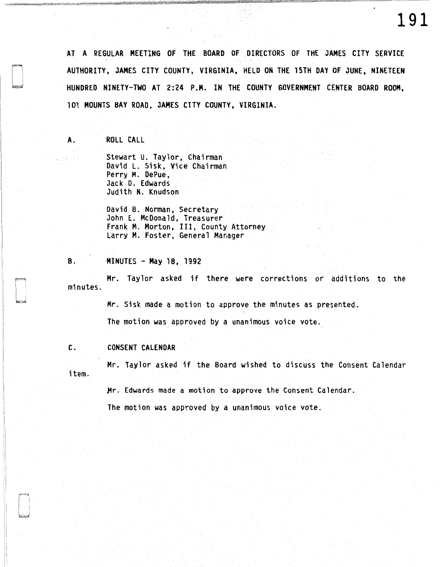AT A REGULAR MEETING OF THE BOARD OF DIRECTORS OF THE JAMES CITY SERVICE AUTHORITY, JAMES CITY COUNTY, VIRGINIA, HELD ON THE 15TH DAY OF JUNE, NINETEEN HUNDRED NINETY-TWO AT 2:24 P.M. IN THE COUNTY GOVERNMENT CENTER BOARD ROOM, 101 MOUNTS BAY ROAD, JAMES CITY COUNTY, VIRGINIA.

A. ROLL CALL

Stewart U. Taylor, Chairman David L. Sisk, Vice Chairman Perry M. DePue, Jack D. Edwards Judith N. Knudson

David B. Norman, Secretary John E. McDonald, Treasurer Frank M. Morton, III, County Attorney Larry M. Foster, General Manager

B. MINUTES - May 18, 1992

Mr. Taylor asked if there were corrections or additions to the minutes.

> Mr. Sisk made a motion to approve the minutes as presented. The motion was approved by a unanimous voice vote.

C. CONSENT CALENDAR

Mr. Taylor asked if the Board wished to discuss the Consent Calendar item.

Mr. Edwards made a motion to approve the Consent Calendar.

The motion was approved by a unanimous voice vote.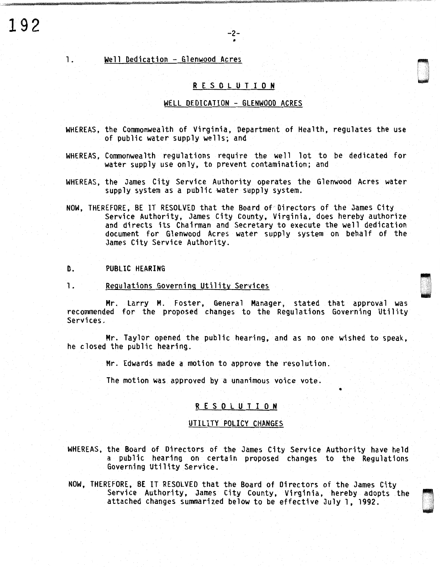# 1. Well Dedication - Glenwood Acres

#### **R E** S 0 L U T I **0 N**

II

#### WELL DEDICATION - GLENWOOD ACRES

- WHEREAS, the Commonwealth of Virginia, Department of Health, regulates the use of public water supply wells; and
- WHEREAS, Commonwealth regulations require the well lot to be dedicated for water supply use only, to prevent contamination; and
- WHEREAS, the James City Service Authority operates the Glenwood Acres water supply system as a public water supply system.
- NOW, THEREFORE, BE IT RESOLVED that the Board of'Directors of the James City Service Authority, James City County, Virginia, does hereby authorize and directs its Chairman and Secretary to execute the well dedication document for Glenwood Acres water supply system on behalf of the James City Service Authority.

## D. PUBLIC HEARING

1. Regulations Governing Utility Services

Mr. Larry M. Foster, General Manager, stated that approval was recommended for the proposed changes to the Regulations Governing Utility Services.

Mr. Taylor opened the public hearing, and as no one wished to speak, he closed the public hearing.

Mr. Edwards made a motion to approve the resolution.

The motion was approved by a unanimous voice vote.

# R E S 0 L U T I 0 N

•

000<br>1980<br>1980

(] . . .

> ri u<br>und

#### UTILITY POLICY CHANGES

- WHEREAS, the Board of Directors of the James City Service Authority have held a public hearing on certain proposed changes to the Regulations Governing Utility Service.
- NOW, THEREFORE, BE IT RESOLVED that the Board of Directors of the James City Service Authority, James City County, Virginia, hereby adopts the attached changes summarized below to be effective July 1, 1992.

**192** -2-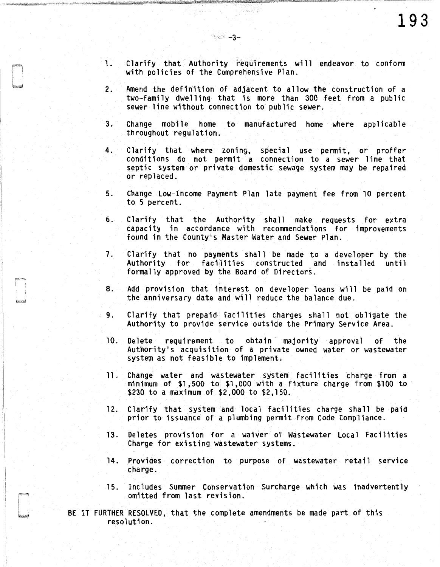- 1. Clarify that Authority requirements will endeavor to conform with policies of the Comprehensive Plan.
- 2. Amend the definition of adjacent to allow the construction of a two-family dwelling that is more than 300 feet from a public sewer line without connection to public sewer.
- 3. Change mobile home to manufactured home where applicable throughout regulation.
- 4. Clarify that where zoning, special use permit, or proffer conditions do not permit a connection to a sewer line that septic system or private domestic sewage system may be repaired or replaced.
- 5. Change Low-Income Payment Plan late payment fee from 10 percent to 5 percent.
- 6. Clarify that the Authority shall make requests for extra capacity in accordance with recommendations for improvements found in the County's Master Water and Sewer Plan.
- 7. Clarify that no payments shall be made to a developer by the Authority for facilities constructed and installed until formally approved by the Board of Directors.
- B. Add provision that interest on developer loans will be paid on the anniversary date and will reduce the balance due.
- 9. Clarify that prepaid facilities charges shall not obligate the Authority to provide service outside the Primary Service Area.
- 10. Delete requirement to obtain majority approval of the Authority's acquisition of a private owned water or wastewater system as not feasible to implement.
- 11. Change water and wastewater system facilities charge from a minimum of \$1, 500 to \$1, 000 with a fixture charge from \$100 to \$230 to a maximum of \$2,000 to \$2,150.
- 12. Clarify that system and local facilities charge shall be paid prior to issuance of a plumbing permit from Code Compliance.
- 13. Deletes provision for a waiver of Wastewater Local Facilities Charge for existing wastewater systems.
- 14. Provides correction to purpose of wastewater retail service charge.
- 15. Includes Summer Conservation Surcharge which was inadvertently omitted from last revision.

BE IT FURTHER RESOLVED, that the complete amendments be made part of this resolution.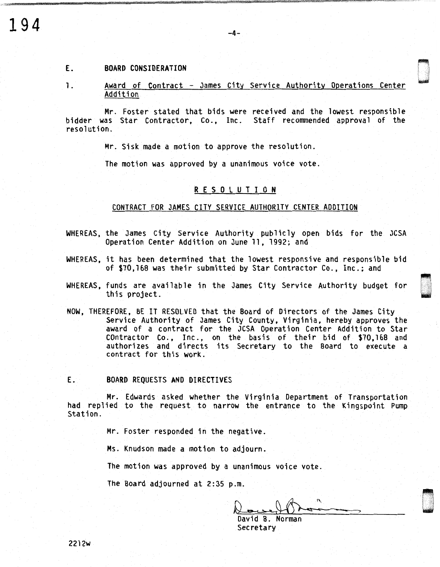# **194**

#### E. BOARD CONSIDERATION

l. Award of Contract - James City Service Authority Operations Center Addition

0

 $-4-$ 

Mr. Foster stated that bids were received and the lowest responsible bidder was Star Contractor, Co., Inc. Staff recommended approval of the resolution.

Mr. Sisk made a motion to approve the resolution.

The motion was approved by a unanimous voice vote.

# R E S 0 L U T I 0 N

#### CONTRACT FOR JAMES CITY SERVICE AUTHORITY CENTER ADDITION

- WHEREAS, the James City Service Authority publicly open bids for the JCSA Operation Center Addition on June 11, 1992; and
- WHEREAS, it has been determined that the lowest responsive and responsible bid of \$70,168 was their submitted by Star Contractor Co., Inc.; and
- WHEREAS, funds are available in the James City Service Authority budget for this project.
- NOW, THEREFORE, BE IT RESOLVED that the Board of Directors of the James City Service Authority of James City County, Virginia, hereby approves the award of a contract for the JCSA Operation Center Addition to Star contractor Co., Inc., on the basis of their bid of \$70,168 and authorizes and directs its Secretary to the Board to execute a contract for this work.

#### E. BOARD REQUESTS AND DIRECTIVES

Mr. Edwards asked whether the Virginia Department of Transportation had replied to the request to narrow the entrance to the Kingspoint Pump<br>Station.

Mr. Foster responded in the negative.

Ms. Knudson made a motion to adjourn.

The motion was approved by a unanimous voice vote.

The Board adjourned at 2:35 p.m.

David B. Norman Secretary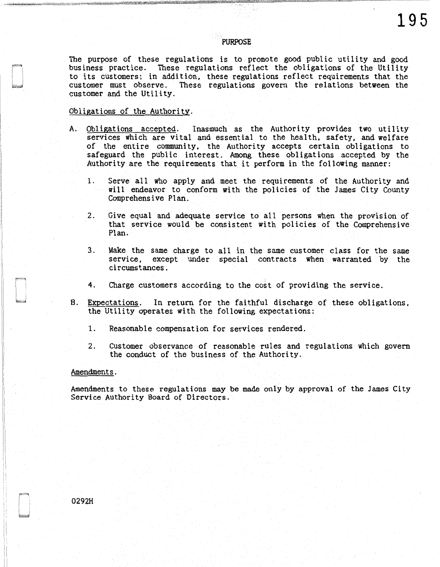#### PURPOSE

The purpose of these regulations is to promote good public utility and good business practice. These regulations reflect the obligations of the Utility to its customers; in addition, these regulations reflect requirements that the customer must observe. These regulations govern the relations between the customer and the Utility.

## Obligations of the Authority.

- A. Obligations accepted. Inasmuch as the Authority provides two utility services which are vital and essential to the health, safety, and welfare of the entire community, the Authority accepts certain obligations to safeguard the public interest. Among these obligations accepted by the Authority are the requirements that it perform in the following manner:
	- 1. Serve all who apply and meet the requirements of the Authority and will endeavor to conform with the policies of the James City County Comprehensive Plan.
	- 2. Give equal and adequate service to all persons when the provision of that service would be consistent with policies of the Comprehensive Plan.
	- 3. Make the same charge to all in the same customer class for the same service, except under special contracts when warranted by the circumstances.
	- 4. Charge customers according to the cost of providing the service.
- B. Expectations. In return for the faithful discharge of these obligations, the Utility operates with the following expectations:
	- 1. Reasonable compensation for services rendered.
	- 2. Customer observance of reasonable rules and regulations which govern the conduct of the business of the Authority.

#### Amendments.

Amendments to these regulations may be made only by approval of the James City Service Authority Board of Directors.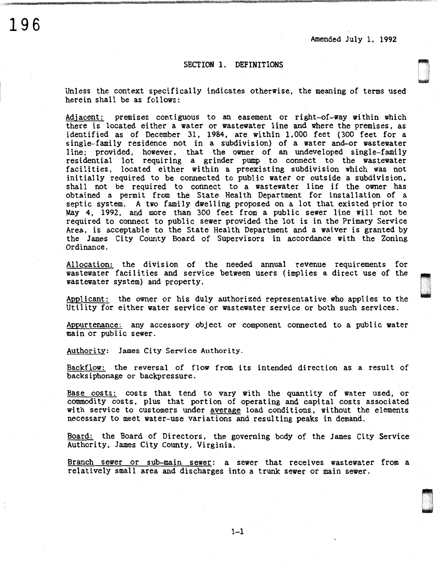,.,

u

# SECTION 1. DEFINITIONS

Unless the context specifically indicates otherwise, the meaning of terms used herein shall be as follows:

Adjacent: premises contiguous to an easement or right-of-way within which there is located either a water or wastewater line and where the premises, as identified as of December 31, 1984, are within 1,000 feet (300 feet for a single-family residence not in a subdivision) of a water and-or wastewater line; provided, however, that the owner of an undeveloped single-family residential lot requiring a grinder pump to connect to the wastewater facilities, located either within a preexisting subdivision which was not initially required to be connected to public water or outside a subdivision, shall not be required to connect to a wastewater line if the owner has obtained a permit from the State Health Department for installation of a septic system. A two family dwelling proposed on a lot that existed prior to May 4, 1992, and more than 300 feet from a public sewer line will not be required to connect to public sewer provided the lot is in the Primary Service Area, is acceptable to the State Health Department and a waiver is granted by the James City County Board of Supervisors in accordance with the Zoning Ordinance.

Allocation: the division of the needed annual revenue requirements for wastewater facilities and service between users (implies a direct use of the wastewater system) and property.

Applicant: the owner or his duly authorized representative who applies to the Utility for either water service or wastewater service or both such services.

Appurtenance: any accessory object or component connected to a public water main or public sewer.

Authority: James City Service Authority.

Backflow: the reversal of flow from its intended direction as a result of backsiphonage or backpressure.

Base costs: costs that tend to vary with the quantity of water used, or commodity costs, plus that portion of operating and capital costs associated with service to customers under average load conditions, without the elements necessary to meet water-use variations and resulting peaks in demand.

Board: the Board of Directors, the governing body of the James City Service Authority, James City County, Virginia.

Branch sewer or sub-main sewer: a sewer that receives wastewater from a relatively small area and discharges into a trunk sewer or main sewer.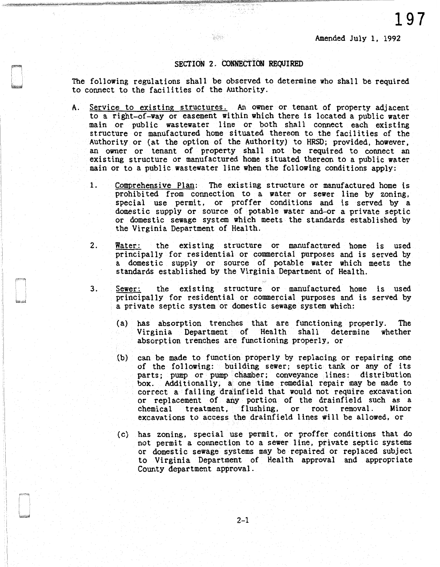**197** 

## SECTION 2. CONNECTION REQUIRED

 $\mathcal{L}(\mathcal{S}_1)$ 

The following regulations shall be observed to determine who shall be required to connect to the facilities of the Authority.

- A. Service to existing structures. An owner or tenant of property adjacent to a right-of-way or easement within which there is located a public water main or public wastewater line or both shall connect each existing structure or manufactured home situated thereon to the facilities of the Authority or (at the option of the Authority) to HRSD; provided, however, an owner or tenant of property shall not be required to connect an existing structure or manufactured home situated thereon to a public water main or to a public wastewater line when the following conditions apply:
	- 1. Comprehensive Plan: The existing structure or manufactured home is prohibited from connection to a water or sewer line by zoning, special use permit, or proffer conditions and is served by a domestic supply or source of potable water and-or a private septic or domestic sewage system which meets the standards established by the Virginia Department of Health.
	- 2. Water: the existing structure or manufactured home is used principally for residential or commercial purposes and is served by a domestic supply or source of potable water which meets the standards established by the Virginia Department of Health.
	- 3. Sewer: the existing structure or manufactured home is used principally for residential or commercial purposes and is served by a private septic system or domestic sewage system which:
		- (a) has absorption trenches that are functioning properly. The Virginia Department of Health shall determine whether absorption trenches are functioning properly, or
		- $(b)$  can be made to function properly by replacing or repairing one of the following: building sewer; septic tank or any of its parts; pump or pump chamber; conveyance lines: distribution box. Additionally, a one time remedial repair may be made to correct a failing drainfield that would not require excavation or replacement of any portion of the drainfield such as a chemical treatment, flushing, or root removal. Minor excavations to access the drainfield lines will be allowed, or
		- (c) has zoning, special use permit, or proffer conditions that do not permit a connection to a sewer line, private septic systems or domestic sewage systems may be repaired or replaced subject to Virginia Department of Health approval and appropriate County department approval.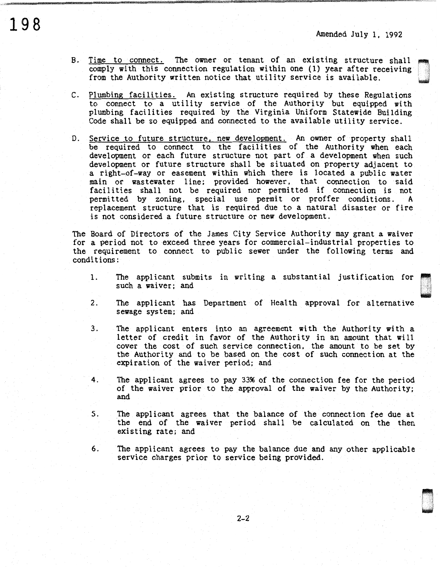~<br>~ w

- B. Time to connect. The owner or tenant of an existing structure shall comply with this connection regulation within one (1) year after receiving from the Authority written notice that utility service is available.
- C. Plumbing facilities. An existing structure required by these Regulations to connect to a utility service of the Authority but equipped with plumbing facilities required by the Virginia Uniform Statewide Building Code shall be so equipped and connected to the available utility service.
- D. Service to future structure, new development. An owner of property shall be required to connect to the facilities of the Authority when each development or each future structure not part of a development when such development or future structure shall be situated on property adjacent to a right-of-way or easement within which there is located a public water main or wastewater line; provided however, that connection to said facilities shall not be required nor permitted if connection is not permitted by zoning, special use permit or proffer conditions. A replacement structure that is required due to a natural disaster or fire is not considered a future structure or new development.

The Board of Directors of the James City Service Authority may grant a waiver for a period not to exceed three years for commercial-industrial properties to the requirement to connect to public sewer under the following terms and conditions:

- 1. The applicant submits in writing a substantial justification for such a waiver; and
- 2. The applicant has Department of Health approval for alternative sewage system; and
- 3. The applicant enters into an agreement with the Authority with a letter of credit in favor of the Authority in an amount that will cover the cost of such service connection, the amount to be set by the Authority and to be based on the cost of such connection at the expiration of the waiver period; and
- 4. The applicant agrees to pay 33% of the connection fee for the period of the waiver prior to the approval of the waiver by the Authority; and
- S. The applicant agrees that the balance of the connection fee due at the end of the waiver period shall be calculated on the then existing rate; and
- 6. The applicant agrees to pay the balance due and any other applicable service charges prior to service being provided.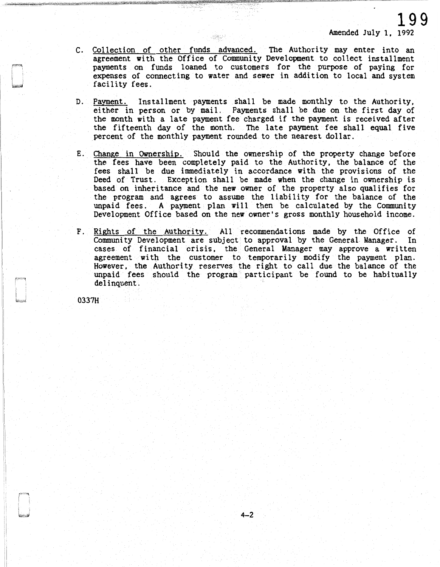- C. Collection of other funds advanced. The Authority may enter into an agreement with the Office of Community Development to collect installment payments on funds loaned to customers for the purpose of paying for expenses of connecting to water and sewer in addition to local and system facility fees.
- D. Payment. Installment payments shall be made monthly to the Authority, either in person or by mail. Payments shall be due on the first day of the month with a late payment fee charged if the payment is received after the fifteenth day of the month. The late payment fee shall equal five percent of the monthly payment rounded to the nearest dollar.
- E. Change in Ownership. Should the ownership of the property change before the fees have been completely paid to the Authority, the balance of the fees shall be due immediately in accordance with the provisions of the Deed of Trust. Exception shall be made when the change in ownership is based on inheritance and the new owner of the property also qualifies for the program and agrees to assume the liability for the balance of the unpaid fees. A payment plan will then be calculated by the Community Development Office based on the new owner's gross monthly household income.
- F. Rights of the Authority. All recommendations made by the Office of Community Development are subject to approval by the General Manager. In cases of financial crisis, the General Manager may approve a written agreement with the customer to temporarily modify the payment plan. However, the Authority reserves the right to call due the balance of the unpaid fees should the program participant be found to be habitually delinquent.

0337H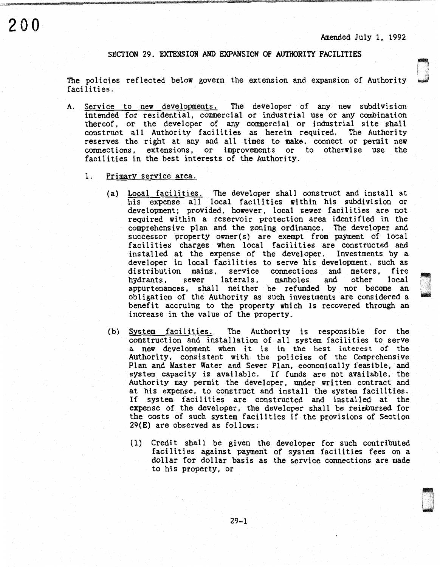Amended July l, 1992

**com**<br>Compositor

D

## SECTION 29. EXTENSION AND EXPANSION OF AUTHORITY FACILITIES

The policies reflected below govern the extension and expansion of Authority facilities.

- A. Service to new developments. The developer of any new subdivision intended for residential, commercial or industrial use or any combination thereof, or the developer of any commercial or industrial site shall construct all Authority facilities as herein required. The Authority reserves the right at any and all times to make, connect or permit new connections, extensions, or improvements or to otherwise use the facilities in the best interests of the Authority.
	- 1. Primary service area.
		- (a) Local facilities. The developer shall construct and install at his expense all local facilities within his subdivision or development; provided, however, local sewer facilities are not required within a reservoir protection area identified in the comprehensive plan and the zoning ordinance. The developer and successor property owner(s) are exempt from payment of local facilities charges when local facilities are constructed and installed at the expense of the developer. Investments by a developer in local facilities to serve his development, such as distribution mains, service connections and meters, fire distribution mains, service connections and meters, fire<br>hydrants, sewer laterals, manholes and other local laterals, appurtenances, shall neither be refunded by nor become an obligation of the Authority as such investments are considered a benefit accruing to the property which is recovered through an increase in the value of the property.
		- (b) System facilities. The Authority is responsible for the construction and installation of all system facilities to serve a new development when it is in the best interest of the Authority, consistent with the policies of the Comprehensive Plan and Master Water and Sewer Plan, economically feasible, and system capacity is available. If funds are not available, the Authority may permit the developer, under written contract and at his expense, to construct and install the system facilities. If system facilities are constructed and installed at the expense of the developer, the developer shall be reimbursed for the costs of such system facilities if the provisions of Section 29(E) are observed as follows:
			- (1) Credit shall be given the developer for such contributed facilities against payment of system facilities fees on a dollar for dollar basis as the service connections are made to his property, or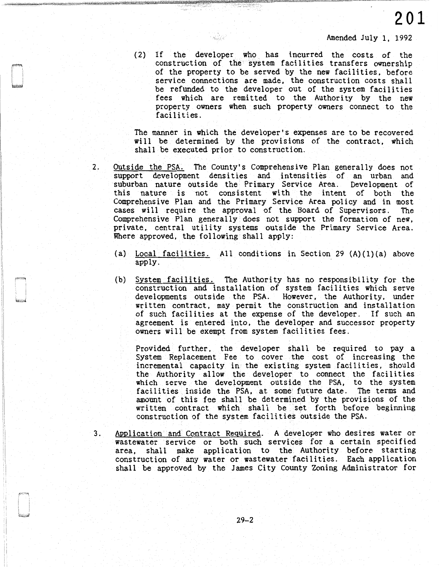Amended July l, 1992

(2) If the developer who has incurred the costs of the construction of the system facilities transfers ownership of the property to be served by the new facilities, before service connections are made, the construction costs shall be refunded to the developer out of the system facilities fees which are remitted to the Authority by the new property owners when such property owners connect to the facilities.

The manner in which the developer's expenses are to be recovered will be determined by the provisions of the contract, which shall be executed prior to construction.

- 2. Outside the PSA. The County's Comprehensive Plan generally does not support development densities and intensities of an urban and suburban nature outside the Primary Service Area. Development of this nature is not consistent with the intent of both the Comprehensive Plan and the Primary Service Area policy and in most cases wi 11 require the approval of the Board of Supervisors. The Comprehensive Plan generally does not support the formation of new, private, central utility systems outside the Primary Service Area. Where approved, the following shall apply:
	- (a) Local facilities. All conditions in Section 29  $(A)(1)(a)$  above apply.
	- (b) System facilities. The Authority has no responsibility for the construction and installation of system facilities which serve developments outside the PSA. However, the Authority, under written contract, may permit the construction and installation of such facilities at the expense of the developer. If such an agreement is entered into, the developer and successor property owners will be exempt from system facilities fees.

Provided further, the developer shall be required to pay a System Replacement Fee to cover the cost of increasing the incremental capacity in the existing system facilities, should the Authority allow the developer to connect the facilities which serve the development outside the PSA, to the system facilities inside the PSA, at some future date. The terms and amount of this fee shall be determined by the provisions of the written contract which shall be set forth before beginning construction of the system facilities outside the PSA.

3. Application and Contract Required. A developer who desires water or wastewater service or both such services for a certain specified area, shall make application to the Authority before starting construction of any water or wastewater facilities. Each application shall be approved by the James City County Zoning Administrator for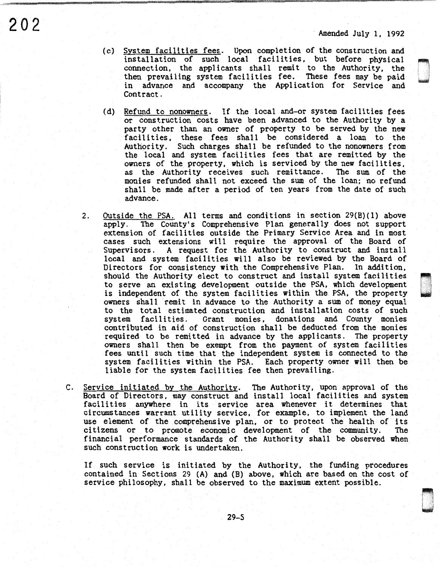O:··., |<br>|-<br>| 1960-1961

> 2000<br>D .<br>D .  $\mathbb{R}^2$

- $202$  Amended July 1, 1992
	- (c) System facilities fees. Upon completion of the construction and installation of such local facilities, but before physical connection, the applicants shall remit to the Authority, the then prevailing system facilities fee. These fees may be paid in advance and accompany the Application for Service and Contract.
	- (d) Refund to nonowners. If the local and-or system facilities fees or construction costs have been advanced to the Authority by a party other than an owner of property to be served by the new facilities, these fees shall be considered a loan to the Authority. Such charges shall be refunded to the nonowners from the local and system facilities fees that are remitted by the owners of the property, which is serviced by the new facilities, as the Authority receives such remittance. The sum of the monies refunded shall not exceed the sum of the loan; no refund shall be made after a period of ten years from the date of such advance.
	- 2. Outside the PSA. All terms and conditions in section 29(B)(1) above apply. The County's Comprehensive Plan generally does not support The County's Comprehensive Plan generally does not support extension of facilities outside the Primary Service Area and in most cases such extensions will require the approval of the Board of Supervisors. A request for the Authority to construct and install local and .system facilities will also be reviewed by the Board of Directors for consistency with the Comprehensive Plan. In addition, should the Authority elect to construct and install system facilities to serve an existing development outside the PSA, which development is independent of the system facilities within the PSA, the property owners shall remit in advance to the Authority a sum of money equal to the total estimated construction and installation costs of such Grant monies, donations and County monies contributed in aid of construction shall be deducted from the monies required to be remitted in advance by the applicants. The property owners shall then be exempt from the payment of system facilities fees until such time that the independent system is connected to the system facilities within the PSA. Each property owner will then be liable for the system facilities fee then prevailing.
	- C. Service initiated by the Authority. The Authority, upon approval of the Board of Directors, may construct and install local facilities and system facilities anywhere in its service area whenever it determines that circumstances warrant utility service, for example, to implement the land use element of the comprehensive plan, or to protect the health of its citizens or to promote economic development of the community. The financial performance standards of the Authority shall be observed when such construction work is undertaken.

If such service is initiated by the Authority, the funding procedures contained in Sections 29 (A) and (B) above, which are based on the cost of service philosophy, shall be observed to the maximum extent possible.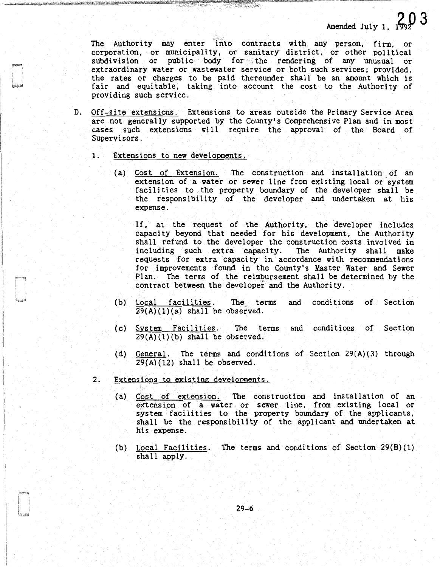The Authority may enter fiito contracts with any person, firm, or corporation, or municipality, or sanitary district, or other political subdivision or public body for the rendering of any unusual or extraordinary water or wastewater service or both such services; provided, the rates or charges to be paid thereunder shall be an amount which is fair and equitable, taking into account the cost to the Authority of providing such service.

- D. Off-site extensions. Extensions to areas outside the Primary Service Area are not generally supported by the County's Comprehensive Plan and in most cases such extensions will require the approval of the Board of Supervisors.
	- 1.. Extensions to new developments.
		- (a) Cost of Extension. The construction and installation of an extension of a water or sewer line from existing local or system facilities to the property boundary of the developer shall be the responsibility of the developer and undertaken at his expense.

If, at the request of the Authority, the developer includes capacity beyond that needed for his development, the Authority shall refund to the developer the construction costs involved in including such extra capacity. The Authority shall make including such extra capacity. requests for extra capacity in accordance with recommendations for improvements found in the County's Master Water and Sewer<br>Plan. The terms of the reimbursement shall be determined by the The terms of the reimbursement shall be determined by the contract between the developer and the Authority.

- (b) Local facilities. The terms and conditions of Section  $29(A)(1)(a)$  shall be observed.
- ( c) System Facilities. The terms and conditions of Section  $29(A)(1)(b)$  shall be observed.
- (d) General. The terms and conditions of Section 29(A)(3) through  $29(A)(12)$  shall be observed.
- 2. Extensions to existing developments.
	- (a) Cost of extension. The construction and installation of an extension of a water or sewer line, from existing local or system facilities to the property boundary of the applicants, shall be the responsibility of the applicant and undertaken at his expense.
	- (b) Local Facilities. The terms and conditions of Section 29(B)(1) shall apply.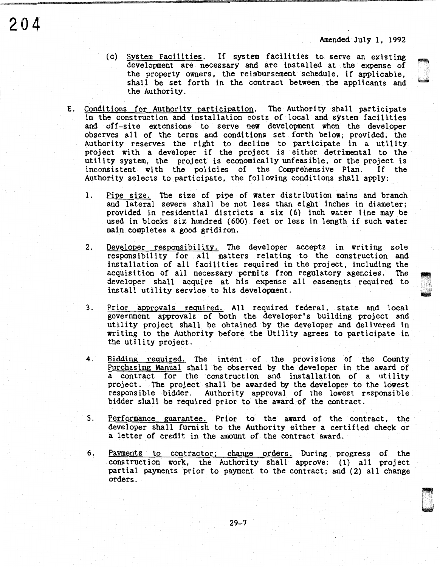Deserte<br>Deserte

- (c) System Facilities. If system facilities to serve an existing development are necessary and are installed at the expense of the property owners, the reimbursement schedule, if applicable, shall be set forth in the contract between the applicants and the Authority.
- E. Conditions for Authority participation. The Authority shall participate in the construction and installation costs of local and system facilities and off-site extensions to serve new development when the developer observes all of the terms and conditions set forth below; provided, the Authority reserves the right to decline to participate in a utility project with a developer if the project is either detrimental to the utility system, the project is economically unfeasible, or the project is inconsistent with the policies of the Comprehensive Plan. If the Authority selects to participate, the following conditions shall apply:

**204** 

- 1. Pipe size. The size of pipe of water distribution mains and branch and lateral sewers shall be not less than eight inches in diameter; provided in residential districts a six (6) inch water line may be used in blocks six hundred (600) feet or less in length if such water main completes a good gridiron.
- 2. Developer responsibility. The developer accepts in writing sole responsibility for all matters relating to the construction and installation of all facilities required in the project, including the acquisition of all necessary permits from regulatory agencies. The developer shall acquire at his expense all easements required to \ 1 install utility service to his development.
- 3. Prior approvals required. All required federal, state and local government approvals of both the developer's building project and utility project shall be obtained by the developer and delivered in writing to the Authority before the Utility agrees to participate in the utility project.
- 4. Bidding reguired. The intent of the provisions of the County Purchasing Manual shall be observed by the developer in the award of a contract for the construction and installation of a utility project. The project shall be awarded by the developer to the lowest responsible bidder. Authority approval of the lowest responsible bidder shall be required prior to the award of the contract.
- 5. Performance guarantee. Prior to the award of the contract, the developer shall furnish to the Authority either a certified check or a letter of credit in the amount of the contract award.
- 6. Payments to contractor; change orders. During progress of the construction work, the Authority shall approve: (1) all project partial payments prior to payment to the contract; and (2) all change orders.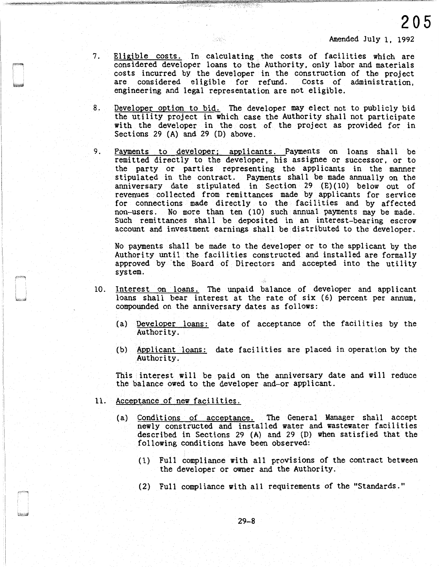7. Eligible costs. In calculating the costs of facilities which are considered developer loans to the Authority, only labor and materials costs incurred by the developer in the construction of the project are considered eligible for refund. Costs of administration. are considered eligible for refund. engineering and legal representation are not eligible.

ek.

- 8. Developer option to bid. The developer may elect not to publicly bid the utility project in which case the Authority shall not participate with the developer in the cost of the project as provided for in Sections 29 (A) and 29 (D) above.
- 9. Payments to developer; applicants. Payments on loans shall be remitted directly to the developer, his assignee or successor, or to the party or parties representing the applicants in the manner stipulated in the contract. Payments shall be made annually on the anniversary date stipulated in Section 29 (E)(10) below out of revenues collected from remittances made by applicants for service for connections made directly to the facilities and by affected non-users. No more than ten ( 10) such annual payments may be made. Such remittances shall be deposited in an interest-bearing escrow account and investment earnings shall be distributed to the developer.

No payments shall be made to the developer or to the applicant by the Authority until the facilities constructed and installed are formally approved by ·the Board of Directors and accepted into the utility system.

- 10. Interest on loans. The unpaid balance of developer and applicant loans shall bear interest at the rate of six (6) percent per annum, compounded on the anniversary dates as follows:
	- (a) Developer loans: date of acceptance of the facilities by the Authority.
	- (b) Applicant loans: date facilities are placed in operation by the Authority.

This interest will be paid on the anniversary date and will reduce the balance owed to the developer and-or applicant.

- 11. Acceptance of new facilities.
	- (a) Conditions of acceptance. The General Manager shall accept newly constructed and installed water and wastewater facilities described in Sections 29 (A) and 29 (D) when satisfied that the following conditions have been observed:
		- (1) Full compliance with all provisions of the contract between the developer or owner and the Authority.
		- (2) Full compliance with all requirements of the "Standards."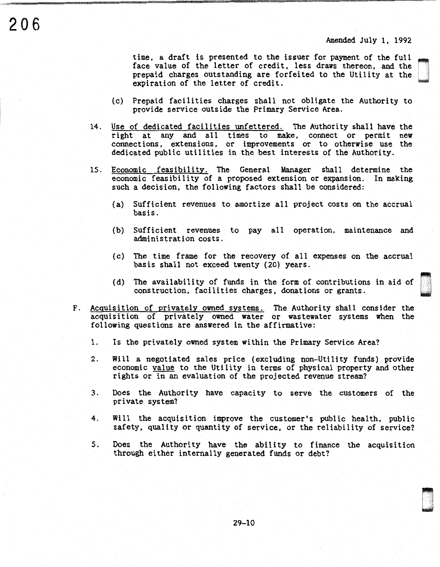Davis<br>Davis

u ' '

time, a draft is presented to the issuer for payment of the full face value of the letter of credit, less draws thereon, and the prepaid charges outstanding are forfeited to the Utility at the expiration of the letter of credit.

- (c) Prepaid facilities charges shall not obligate the Authority to provide service outside the Primary Service Area.
- 14. Use of dedicated facilities unfettered. The Authority shall have the right at any and all times to make, connect or permit new connections, extensions, or improvements or to otherwise use the dedicated public utilities in the best interests of the Authority.
- 15. Economic feasibility. The General Manager shall determine the economic feasibility of a proposed extension or expansion. In making such a decision, the following factors shall be considered:
	- (a) Sufficient revenues to amortize all project costs on the accrual basis.
	- (b) Sufficient revenues to pay all operation, maintenance and administration costs.
	- (c) The time frame for the recovery of all expenses on the accrual basis shall not exceed twenty (20) years.
	- (d) The availability of funds in the form of contributions in aid of construction, facilities charges, donations or grants.
- F. Acquisition of privately owned systems. The Authority shall consider the acquisition of privately owned water or wastewater systems when the following questions are answered in the affirmative:
	- 1. Is the privately owned system within the Primary Service Area?
	- 2. Will a negotiated sales price (excluding non-Utility funds) provide economic value to the Utility in terms of physical property and other rights or in an evaluation of the projected revenue stream?
	- 3. Does the Authority have capacity to serve the customers of the private system?
	- 4. Will the acquisition improve the customer's public health, public safety, quality or quantity of service, or the reliability of service?
	- S. Does the Authority have the ability to finance the acquisition through either internally generated funds or debt?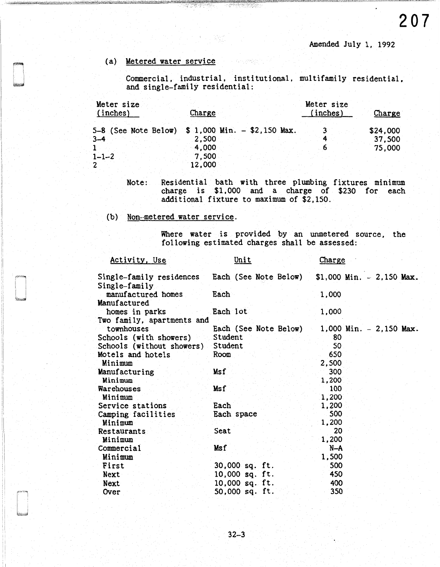Amended July l, 1992

# (a) Metered water service

Commercial, industrial, institutional, multifamily residential, and single-family residential:

| Meter size<br>(inches) | Charge                                                              | Meter size<br>(inches) | Charge                       |
|------------------------|---------------------------------------------------------------------|------------------------|------------------------------|
| $3 - 4$                | 5-8 (See Note Below) \$ 1,000 Min. - \$2,150 Max.<br>2.500<br>4,000 | 3 ।                    | \$24,000<br>37,500<br>75,000 |
| $1 - 1 - 2$<br>2       | 7,500<br>12,000                                                     |                        |                              |

Note: Residential bath with three plumbing fixtures minimum charge is \$1,000 and a charge of \$230 for each additional fixture to maximum of \$2,150.

(b) Non-metered water service.

'I

Where water is provided by an unmetered source, the following estimated charges shall be assessed:

| Activity, Use              | Unit                  | Charge                     |
|----------------------------|-----------------------|----------------------------|
| Single-family residences   | Each (See Note Below) | $$1,000$ Min. - 2,150 Max. |
| Single-family              |                       |                            |
| manufactured homes         | Each                  | 1,000                      |
| Manufactured               |                       |                            |
| homes in parks             | Each lot              | 1,000                      |
| Two family, apartments and |                       |                            |
| townhouses                 | Each (See Note Below) | $1,000$ Min. $-2,150$ Max. |
| Schools (with showers)     | Student               | 80                         |
| Schools (without showers)  | Student               | 50                         |
| Motels and hotels          | Room                  | 650                        |
| Minimum                    |                       | 2,500                      |
| Manufacturing              | Msf                   | 300                        |
| Minimum                    |                       | 1,200                      |
| Warehouses                 | Msf                   | 100                        |
| Minimum                    |                       | 1,200                      |
| Service stations           | Each                  | 1,200                      |
| Camping facilities         | Each space            | 500                        |
| Minimum                    |                       | 1,200                      |
| Restaurants                | Seat                  | 20                         |
| Minimum                    |                       | 1,200                      |
| Commercial                 | Ms f                  | $N-A$                      |
| Minimum                    |                       | 1,500                      |
| First                      | 30,000 sq. ft.        | 500                        |
| Next                       | 10,000 sq. ft.        | 450                        |
| Next                       | 10,000 sq. ft.        | 400                        |
| Over                       | 50,000 sq. ft.        | 350                        |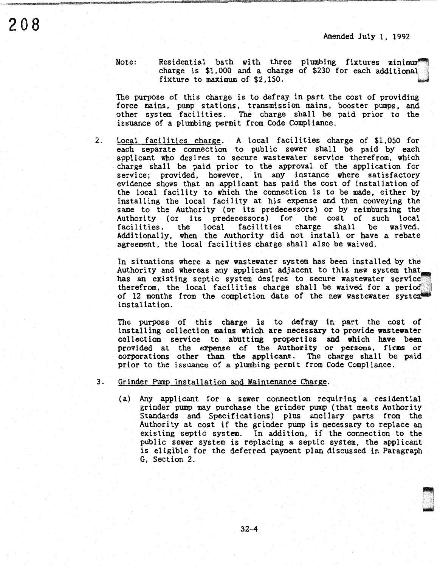Note:

Residential bath with three plumbing fixtures minimum<sup>®</sup> charge is \$1,000 and a charge of \$230 for each additional fixture to maximum of \$2,150.

The purpose of this charge is to defray in part the cost of providing force mains, pump stations, transmission mains, booster pumps, and other system facilities. The charge shall be paid prior to the .issuance of a plumbing permit from Code Compliance.

2. Local facilities charge. A local facilities charge of \$1,050 for each separate connection to public sewer shall be paid by each applicant who desires to secure wastewater service therefrom, which charge shall be paid prior to the approval of the application for service; provided, however, in any instance where satisfactory evidence shows that an applicant has paid the cost of installation of the local facility to which the connection is to be made, either by installing the local facility at his expense and then conveying the same to the Authority (or its predecessors) or by reimbursing the Authority (or its predecessors) for the cost of such local facilities, the local facilities charge shall be waived. the local facilities Additionally, when the Authority did not install or have a rebate agreement, the local facilities charge shall also be waived.

In situations where a new wastewater system has been installed by the Authority and whereas any applicant adjacent to this new system that has an existing septic system desires to secure wastewater service therefrom, the local facilities charge shall be waived for a perio of 12 months from the completion date of the new wastewater system installation.

The purpose of this charge is to defray in part the cost of installing collection mains which are necessary to provide wastewater collection service to abutting properties and which have been provided at the expense of the Authority or persons, firms or corporations other than the applicant. 'Ibe charge shall be paid prior to the issuance of a plumbing permit from Code Compliance.

- 3. Grinder Pump Installation and Maintenance Charge.
	- (a) Any applicant for a sewer connection requiring a residential grinder pump may purchase the grinder pump (that meets Authority Standards and Specifications) plus ancilary parts from the Authority at cost if the grinder pump is necessary to replace an existing septic system. In addition, if the connection to the public sewer system is replacing a septic system, the applicant is eligible for the deferred payment plan discussed in Paragraph G, Section 2.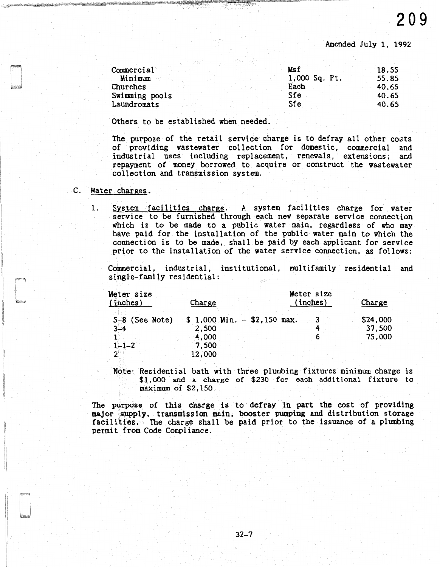Amended July l, 1992

| Commercial     | Msf           | 18.55 |
|----------------|---------------|-------|
| Minimum        | 1,000 Sq. Ft. | 55.85 |
| Churches       | Each          | 40.65 |
| Swimming pools | Sfe           | 40.65 |
| Laundromats    | Sfe           | 40.65 |

Others to be established when needed.

The purpose of the retail service charge is to defray all other costs of providing wastewater collection for domestic, commercial and industrial uses including replacement, renewals, extensions; and repayment of money borrowed to acquire or construct the wastewater collection and transmission system.

# C. Water charges.

1. System facilities charge. A system facilities charge for water service to be furnished through each new separate service connection which is to be made to a public water main, regardless of who may have paid for the installation of the public water main to which the connection is to be made, shall be paid by each applicant for service prior to the installation of the water service connection, as follows:

Commercial, industrial, institutional, multifamily residential and single-family residential:

| Meter size<br>(inches)      | Charge                                  | Meter size<br>(inches) | Charge             |
|-----------------------------|-----------------------------------------|------------------------|--------------------|
| $5-8$ (See Note)<br>$3 - 4$ | $$1,000$ Min. $-$ \$2,150 max.<br>2,500 |                        | \$24,000<br>37,500 |
|                             | 4,000                                   |                        | 75,000             |
| $1 - 1 - 2$                 | 7,500<br>12,000                         |                        |                    |

Note: Residential bath with three plumbing fixtures minimum charge is \$1,000 and a charge of \$230 for each additional fixture to maximum of \$2,150.

The purpose of this charge is to defray in part the cost of providing major supply, transmission main, booster pumping and distribution storage facilities. The charge shall be paid prior to the issuance of a plumbing permit from Code Compliance.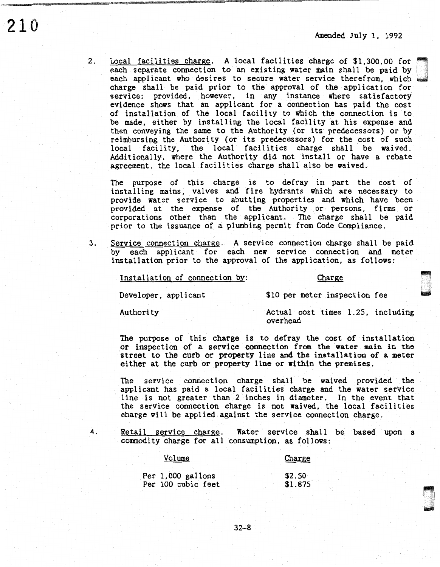D '

~ u<br>u

2. Local facilities charge. A local facilities charge of \$1,300.00 for each separate connection to an existing water main shall be paid by each applicant who desires to secure water service therefrom, which charge shall be paid prior to the approval of the application for service; provided, however, in any instance where satisfactory evidence shows that an applicant for a connection has paid the cost of installation of the local facility to which the connection is to be made, either by installing the local facility at his expense and

then conveying the same to the Authority (or its predecessors) or by reimbursing the Authority (or its predecessors) for the cost of such local facility, the local facilities charge shall be waived. Additionally, where the Authority did not install or have a rebate agreement, the local facilities charge shall also be waived.

The purpose of this charge is to defray in part the cost of installing mains. valves and fire hydrants which are necessary to provide water service to abutting properties and which have been provided at the expense of the Authority or- persons, firms or corporations other than the applicant. The charge shall be paid prior to the issuance of a plumbing permit from Code Compliance.

3. Service connection charge. A service connection charge shall be paid by each applicant for each new service connection and meter installation prior to the approval of the application, as follows:

Installation of connection by:

#### Charge

\$10 per meter inspection fee

Developer, applicant

Authority

Actual cost times 1.25, including overhead

The purpose of this charge is to defray the cost of installation or inspection of a service connection from the water main in the street to the curb or property line and the installation of a meter either at the curb or property line or within the premises.

The service connection charge shall be waived provided the applicant has paid a local facilities charge and the water service line is not greater than 2 inches in diameter. In the event that the service connection charge is not waived, the local facilities charge will be applied against the service connection charge.

210

4. Retail service charge. Water service shall be based upon a commodity charge for all consumption, as follows:

| Volume                                  | Charge            |
|-----------------------------------------|-------------------|
| Per 1,000 gallons<br>Per 100 cubic feet | \$2.50<br>\$1.875 |